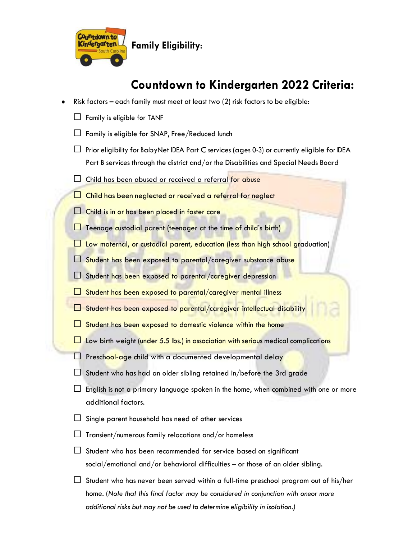

**Family Eligibility**:

# **Countdown to Kindergarten 2022 Criteria:**

- Risk factors each family must meet at least two  $(2)$  risk factors to be eligible:
	- $\Box$  Family is eligible for TANF
	- $\Box$  Family is eligible for SNAP, Free/Reduced lunch
	- $\Box$  Prior eligibility for BabyNet IDEA Part C services (ages 0-3) or currently eligible for IDEA Part B services through the district and/or the Disabilities and Special Needs Board
	- $\square$  Child has been abused or received a referral for abuse
	- $\Box$  Child has been neglected or received a referral for neglect
	- $\Box$  Child is in or has been placed in foster care
	- $\Box$  Teenage custodial parent (teenager at the time of child's birth)
	- $\Box$  Low maternal, or custodial parent, education (less than high school graduation)
	- $\Box$  Student has been exposed to parental/caregiver substance abuse
	- $\Box$  Student has been exposed to parental/caregiver depression
	- $\Box$  Student has been exposed to parental/caregiver mental illness
	- □ Student has been exposed to parental/caregiver intellectual disability
	- $\Box$  Student has been exposed to domestic violence within the home
	- $\Box$  Low birth weight (under 5.5 lbs.) in association with serious medical complications
	- $\Box$  Preschool-age child with a documented developmental delay
	- $\Box$  Student who has had an older sibling retained in/before the 3rd grade
	- $\Box$  English is not a primary language spoken in the home, when combined with one or more additional factors.
	- $\Box$  Single parent household has need of other services
	- $\Box$  Transient/numerous family relocations and/or homeless
	- $\Box$  Student who has been recommended for service based on significant social/emotional and/or behavioral difficulties – or those of an older sibling.
	- $\Box$  Student who has never been served within a full-time preschool program out of his/her home. (*Note that this final factor may be considered in conjunction with oneor more additional risks but may not be used to determine eligibility in isolation.)*